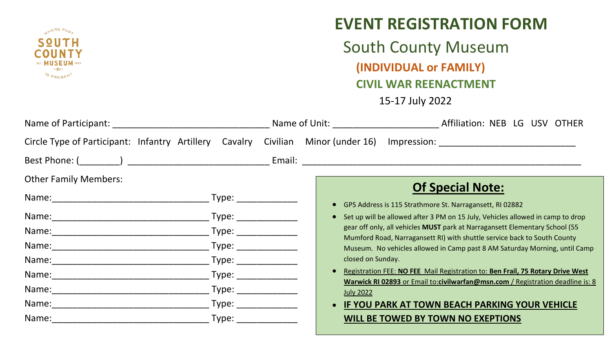

## **EVENT REGISTRATION FORM**

South County Museum **(INDIVIDUAL or FAMILY) CIVIL WAR REENACTMENT** 15-17 July 2022

|                                                                                              |  |       |                                                                                                                                                                                                                                |  |                   |                                                                                                                                                        | Name of Unit: Affiliation: NEB LG USV OTHER |                                                                                       |  |  |  |
|----------------------------------------------------------------------------------------------|--|-------|--------------------------------------------------------------------------------------------------------------------------------------------------------------------------------------------------------------------------------|--|-------------------|--------------------------------------------------------------------------------------------------------------------------------------------------------|---------------------------------------------|---------------------------------------------------------------------------------------|--|--|--|
| Circle Type of Participant: Infantry Artillery Cavalry Civilian Minor (under 16) Impression: |  |       |                                                                                                                                                                                                                                |  |                   |                                                                                                                                                        |                                             |                                                                                       |  |  |  |
|                                                                                              |  |       |                                                                                                                                                                                                                                |  |                   |                                                                                                                                                        |                                             |                                                                                       |  |  |  |
| <b>Other Family Members:</b>                                                                 |  |       |                                                                                                                                                                                                                                |  |                   |                                                                                                                                                        |                                             | <b>Of Special Note:</b>                                                               |  |  |  |
|                                                                                              |  |       |                                                                                                                                                                                                                                |  |                   |                                                                                                                                                        |                                             | • GPS Address is 115 Strathmore St. Narragansett, RI 02882                            |  |  |  |
|                                                                                              |  |       | Type:                                                                                                                                                                                                                          |  |                   |                                                                                                                                                        |                                             | • Set up will be allowed after 3 PM on 15 July, Vehicles allowed in camp to drop      |  |  |  |
|                                                                                              |  |       | Type: The contract of the contract of the contract of the contract of the contract of the contract of the contract of the contract of the contract of the contract of the contract of the contract of the contract of the cont |  |                   |                                                                                                                                                        |                                             | gear off only, all vehicles MUST park at Narragansett Elementary School (55           |  |  |  |
| Name: <u>_____________________________</u>                                                   |  | Type: |                                                                                                                                                                                                                                |  |                   | Mumford Road, Narragansett RI) with shuttle service back to South County<br>Museum. No vehicles allowed in Camp past 8 AM Saturday Morning, until Camp |                                             |                                                                                       |  |  |  |
|                                                                                              |  | Type: |                                                                                                                                                                                                                                |  | closed on Sunday. |                                                                                                                                                        |                                             |                                                                                       |  |  |  |
| Name: _________________________                                                              |  |       | Type: The control of the control of the control of the control of the control of the control of the control of the control of the control of the control of the control of the control of the control of the control of the co |  |                   |                                                                                                                                                        |                                             | <b>Registration FEE: NO FEE Mail Registration to: Ben Frail, 75 Rotary Drive West</b> |  |  |  |
|                                                                                              |  | Type: |                                                                                                                                                                                                                                |  |                   | Warwick RI 02893 or Email to:civilwarfan@msn.com / Registration deadline is: 8<br><b>July 2022</b>                                                     |                                             |                                                                                       |  |  |  |
|                                                                                              |  |       | Type: The contract of the contract of the contract of the contract of the contract of the contract of the contract of the contract of the contract of the contract of the contract of the contract of the contract of the cont |  |                   |                                                                                                                                                        |                                             | • IF YOU PARK AT TOWN BEACH PARKING YOUR VEHICLE                                      |  |  |  |
|                                                                                              |  |       | Type: Type:                                                                                                                                                                                                                    |  |                   |                                                                                                                                                        |                                             | WILL BE TOWED BY TOWN NO EXEPTIONS                                                    |  |  |  |